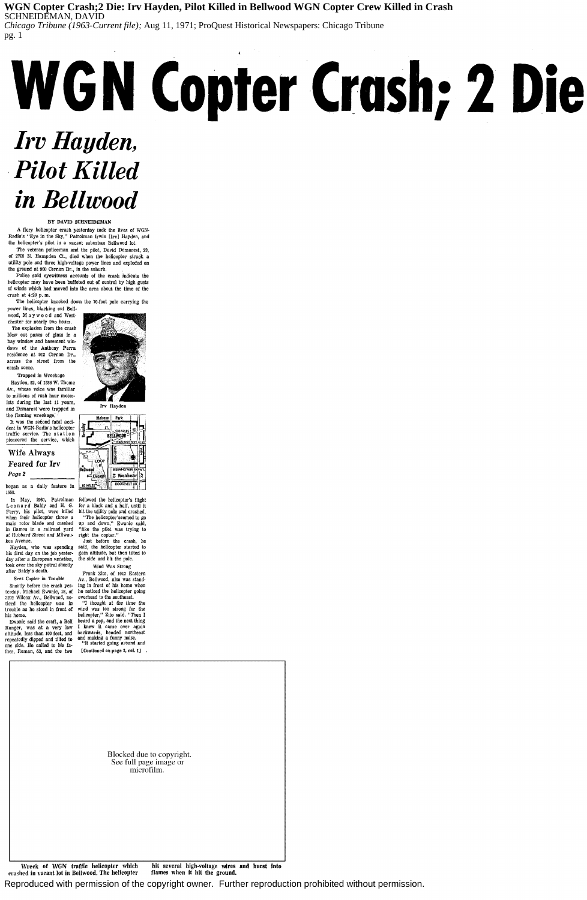Reproduced with permission of the copyright owner. Further reproduction prohibited without permission.

### **WGN Copter Crash;2 Die: Irv Hayden, Pilot Killed in Bellwood WGN Copter Crew Killed in Crash** SCHNEIDEMAN, DAVID

*Chicago Tribune (1963-Current file);* Aug 11, 1971; ProQuest Historical Newspapers: Chicago Tribune pg. 1

BY DAVID SCHNEIDEMAN

A fiery helicopter crash yesterday took the lives of WGN· Radio's "Eye in the Sky," Patrolman Irwin [Irv] Hayden, and the helicopter's pilot in a vacant suburban Bellwood lot.

The veteran policeman and the pilot, David Demarest, 29, of 27VO N. Hampden Ct., died when the helicopter struck a utility pole and three high-voltage power Jines and exploded on the ground at 900 Cernan Dr., in the suburb.

It was the second fatal accident in WGN-Radio's helicopter traffic service. The station pioneered the service, which

Police said eyewitness accounts of the crash indicate the helicopter may have been buffeted out of control by high gusts of winds which had moved into the area about the time of the crash at 4:20 p. m.

The helicopter knocked down the 70-foot pole carrying the power lines, blacking out Bell·

bu

wood, M a y w o o d and Westchester for nearly two hours. The explosion from the crash

blew out panes of glass in a bay window and basement win· dows of the Anthony Parra residence at 912 Cernan Dr., across the street from the crash scene.

Trapped in Wreckage

Hayden, 52, of 1536 W. Thome Av., whose voice was familiar to millions of rush hour motorists during the last 11 years, and Demarest were trapped in the flaming wreckage; *:* 

> "I thought at the time the wind was too strong for the helicopter," Zito said. "Then I I knew it came over again

## Wife Always Feared for Irv *Page2*

began as a daily feature in 1958.

erashed in vacant lot in Bellwood. The helicopter flames when it hit the ground.

Leona rd Baldy and H. G. for a block and a half, until it Ferry, his pilot, were killed hit the utility pole and crashed. when their helicopter threw a main rotor blade and crashed in flames in a railroad yard at Hubbard Street and Milwau-right the copter." kee Avenue.

# *Irv Hayden,*  **Pilot Killed** *in Bellwood*  rash; **e 1e**

his first day on the job yester· day after a European vacation, took over the sky patrol shortly after Baldy's death.

Secs Copter in Trouble Shortly before the crash yes·

In May, 1960, Patrolman followed the helicopter's flight "The helicopter'seemed to go up and down," Ewanlc said, "like the pilot was trying to

!crday, Michael Ewanic, 18, of he noticed the helicopter going 3202 Wilcox Av., Bellwood, no· ticed the helicopter was in trouble as he stood in front of

his home. Ewanic said the craft, a Bell heard a pop, and the next thing Ranger, was at a very low



Irv Hayden Melrose Park T

| nurvsu                       |                                               |         |
|------------------------------|-----------------------------------------------|---------|
| Berkeley<br>ST.              | <b>CHARLES</b><br>BEÎLWOOD<br>WASHINGTON BLVD | التلاهو |
| L<br>LOOP                    |                                               |         |
| Bellwood<br>$\equiv$ Chicago | EISENHOWER EXPWY.<br>Westchester<br>Ħ         |         |
| <b>10 MILES</b>              | <b>ROOSEVELT RD.</b>                          |         |

Hayden, who was spending said, the helicopter started to gain altitude, but then tilted to the side and hit the pole. Wind Was Strong

Just before the crash, he

altitude, Jess than 100 feet, and repeatedly dipped and tilted to and making a funny noise.<br>
"It started going around and  $\frac{1}{2}$ " it started going around and one side. He called to his fa. ther, Roman, 53, and the two  $\Gamma$  Continued on page 2, col. 1]. backwards, headed northeast

Frank Zito, of 1013 Eastern Av., Bellwood, also was stand· ing in front of his home when overhead to the southeast.

| Blocked due to copyright.<br>See full page image or<br>microfilm. |  |  |  |  |
|-------------------------------------------------------------------|--|--|--|--|
|                                                                   |  |  |  |  |